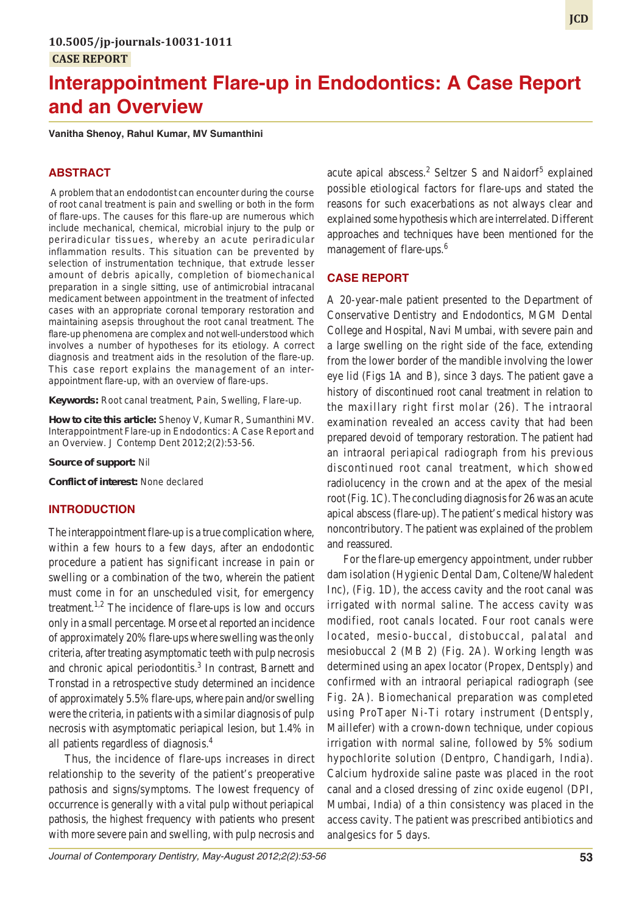# **Interappointment Flare-up in Endodontics: A Case Report and an Overview**

**Vanitha Shenoy, Rahul Kumar, MV Sumanthini**

# **ABSTRACT**

 A problem that an endodontist can encounter during the course of root canal treatment is pain and swelling or both in the form of flare-ups. The causes for this flare-up are numerous which include mechanical, chemical, microbial injury to the pulp or periradicular tissues, whereby an acute periradicular inflammation results. This situation can be prevented by selection of instrumentation technique, that extrude lesser amount of debris apically, completion of biomechanical preparation in a single sitting, use of antimicrobial intracanal medicament between appointment in the treatment of infected cases with an appropriate coronal temporary restoration and maintaining asepsis throughout the root canal treatment. The flare-up phenomena are complex and not well-understood which involves a number of hypotheses for its etiology. A correct diagnosis and treatment aids in the resolution of the flare-up. This case report explains the management of an interappointment flare-up, with an overview of flare-ups.

**Keywords:** Root canal treatment, Pain, Swelling, Flare-up.

**How to cite this article:** Shenoy V, Kumar R, Sumanthini MV. Interappointment Flare-up in Endodontics: A Case Report and an Overview. J Contemp Dent 2012;2(2):53-56.

**Source of support:** Nil

**Conflict of interest:** None declared

#### **INTRODUCTION**

The interappointment flare-up is a true complication where, within a few hours to a few days, after an endodontic procedure a patient has significant increase in pain or swelling or a combination of the two, wherein the patient must come in for an unscheduled visit, for emergency treatment.<sup>1,2</sup> The incidence of flare-ups is low and occurs only in a small percentage. Morse et al reported an incidence of approximately 20% flare-ups where swelling was the only criteria, after treating asymptomatic teeth with pulp necrosis and chronic apical periodontitis.<sup>3</sup> In contrast, Barnett and Tronstad in a retrospective study determined an incidence of approximately 5.5% flare-ups, where pain and/or swelling were the criteria, in patients with a similar diagnosis of pulp necrosis with asymptomatic periapical lesion, but 1.4% in all patients regardless of diagnosis.4

Thus, the incidence of flare-ups increases in direct relationship to the severity of the patient's preoperative pathosis and signs/symptoms. The lowest frequency of occurrence is generally with a vital pulp without periapical pathosis, the highest frequency with patients who present with more severe pain and swelling, with pulp necrosis and

acute apical abscess.<sup>2</sup> Seltzer S and Naidorf<sup>5</sup> explained possible etiological factors for flare-ups and stated the reasons for such exacerbations as not always clear and explained some hypothesis which are interrelated. Different approaches and techniques have been mentioned for the management of flare-ups.<sup>6</sup>

# **CASE REPORT**

A 20-year-male patient presented to the Department of Conservative Dentistry and Endodontics, MGM Dental College and Hospital, Navi Mumbai, with severe pain and a large swelling on the right side of the face, extending from the lower border of the mandible involving the lower eye lid (Figs 1A and B), since 3 days. The patient gave a history of discontinued root canal treatment in relation to the maxillary right first molar (26). The intraoral examination revealed an access cavity that had been prepared devoid of temporary restoration. The patient had an intraoral periapical radiograph from his previous discontinued root canal treatment, which showed radiolucency in the crown and at the apex of the mesial root (Fig. 1C). The concluding diagnosis for 26 was an acute apical abscess (flare-up). The patient's medical history was noncontributory. The patient was explained of the problem and reassured.

For the flare-up emergency appointment, under rubber dam isolation (Hygienic Dental Dam, Coltene/Whaledent Inc), (Fig. 1D), the access cavity and the root canal was irrigated with normal saline. The access cavity was modified, root canals located. Four root canals were located, mesio-buccal, distobuccal, palatal and mesiobuccal 2 (MB 2) (Fig. 2A). Working length was determined using an apex locator (Propex, Dentsply) and confirmed with an intraoral periapical radiograph (see Fig. 2A). Biomechanical preparation was completed using ProTaper Ni-Ti rotary instrument (Dentsply, Maillefer) with a crown-down technique, under copious irrigation with normal saline, followed by 5% sodium hypochlorite solution (Dentpro, Chandigarh, India). Calcium hydroxide saline paste was placed in the root canal and a closed dressing of zinc oxide eugenol (DPI, Mumbai, India) of a thin consistency was placed in the access cavity. The patient was prescribed antibiotics and analgesics for 5 days.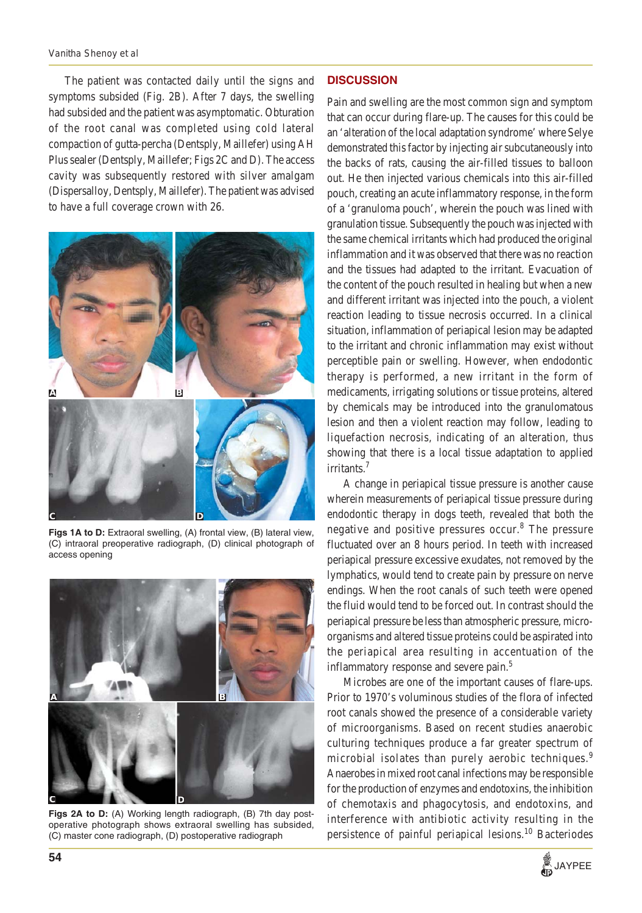The patient was contacted daily until the signs and symptoms subsided (Fig. 2B). After 7 days, the swelling had subsided and the patient was asymptomatic. Obturation of the root canal was completed using cold lateral compaction of gutta-percha (Dentsply, Maillefer) using AH Plus sealer (Dentsply, Maillefer; Figs 2C and D). The access cavity was subsequently restored with silver amalgam (Dispersalloy, Dentsply, Maillefer). The patient was advised to have a full coverage crown with 26.



**Figs 1A to D:** Extraoral swelling, (A) frontal view, (B) lateral view, (C) intraoral preoperative radiograph, (D) clinical photograph of access opening



**Figs 2A to D:** (A) Working length radiograph, (B) 7th day postoperative photograph shows extraoral swelling has subsided, (C) master cone radiograph, (D) postoperative radiograph

# **DISCUSSION**

Pain and swelling are the most common sign and symptom that can occur during flare-up. The causes for this could be an 'alteration of the local adaptation syndrome' where Selye demonstrated this factor by injecting air subcutaneously into the backs of rats, causing the air-filled tissues to balloon out. He then injected various chemicals into this air-filled pouch, creating an acute inflammatory response, in the form of a 'granuloma pouch', wherein the pouch was lined with granulation tissue. Subsequently the pouch was injected with the same chemical irritants which had produced the original inflammation and it was observed that there was no reaction and the tissues had adapted to the irritant. Evacuation of the content of the pouch resulted in healing but when a new and different irritant was injected into the pouch, a violent reaction leading to tissue necrosis occurred. In a clinical situation, inflammation of periapical lesion may be adapted to the irritant and chronic inflammation may exist without perceptible pain or swelling. However, when endodontic therapy is performed, a new irritant in the form of medicaments, irrigating solutions or tissue proteins, altered by chemicals may be introduced into the granulomatous lesion and then a violent reaction may follow, leading to liquefaction necrosis, indicating of an alteration, thus showing that there is a local tissue adaptation to applied irritants.<sup>7</sup>

A change in periapical tissue pressure is another cause wherein measurements of periapical tissue pressure during endodontic therapy in dogs teeth, revealed that both the negative and positive pressures occur.<sup>8</sup> The pressure fluctuated over an 8 hours period. In teeth with increased periapical pressure excessive exudates, not removed by the lymphatics, would tend to create pain by pressure on nerve endings. When the root canals of such teeth were opened the fluid would tend to be forced out. In contrast should the periapical pressure be less than atmospheric pressure, microorganisms and altered tissue proteins could be aspirated into the periapical area resulting in accentuation of the inflammatory response and severe pain.<sup>5</sup>

Microbes are one of the important causes of flare-ups. Prior to 1970's voluminous studies of the flora of infected root canals showed the presence of a considerable variety of microorganisms. Based on recent studies anaerobic culturing techniques produce a far greater spectrum of microbial isolates than purely aerobic techniques.<sup>9</sup> Anaerobes in mixed root canal infections may be responsible for the production of enzymes and endotoxins, the inhibition of chemotaxis and phagocytosis, and endotoxins, and interference with antibiotic activity resulting in the persistence of painful periapical lesions.<sup>10</sup> Bacteriodes

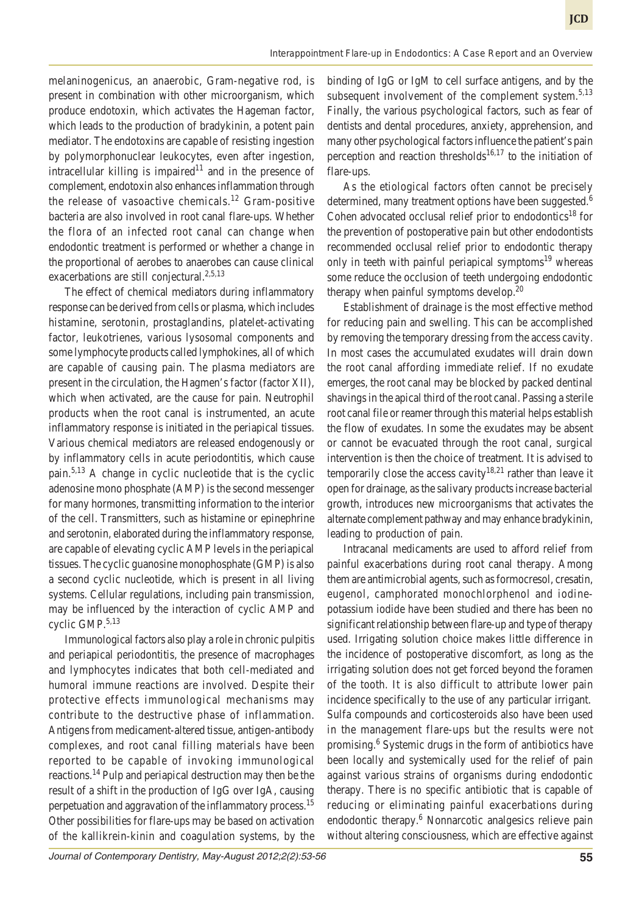melaninogenicus, an anaerobic, Gram-negative rod, is present in combination with other microorganism, which produce endotoxin, which activates the Hageman factor, which leads to the production of bradykinin, a potent pain mediator. The endotoxins are capable of resisting ingestion by polymorphonuclear leukocytes, even after ingestion, intracellular killing is impaired $11$  and in the presence of complement, endotoxin also enhances inflammation through the release of vasoactive chemicals.<sup>12</sup> Gram-positive bacteria are also involved in root canal flare-ups. Whether the flora of an infected root canal can change when endodontic treatment is performed or whether a change in the proportional of aerobes to anaerobes can cause clinical exacerbations are still conjectural.<sup>2,5,13</sup>

The effect of chemical mediators during inflammatory response can be derived from cells or plasma, which includes histamine, serotonin, prostaglandins, platelet-activating factor, leukotrienes, various lysosomal components and some lymphocyte products called lymphokines, all of which are capable of causing pain. The plasma mediators are present in the circulation, the Hagmen's factor (factor XII), which when activated, are the cause for pain. Neutrophil products when the root canal is instrumented, an acute inflammatory response is initiated in the periapical tissues. Various chemical mediators are released endogenously or by inflammatory cells in acute periodontitis, which cause pain.5,13 A change in cyclic nucleotide that is the cyclic adenosine mono phosphate (AMP) is the second messenger for many hormones, transmitting information to the interior of the cell. Transmitters, such as histamine or epinephrine and serotonin, elaborated during the inflammatory response, are capable of elevating cyclic AMP levels in the periapical tissues. The cyclic guanosine monophosphate (GMP) is also a second cyclic nucleotide, which is present in all living systems. Cellular regulations, including pain transmission, may be influenced by the interaction of cyclic AMP and cyclic GMP.5,13

Immunological factors also play a role in chronic pulpitis and periapical periodontitis, the presence of macrophages and lymphocytes indicates that both cell-mediated and humoral immune reactions are involved. Despite their protective effects immunological mechanisms may contribute to the destructive phase of inflammation. Antigens from medicament-altered tissue, antigen-antibody complexes, and root canal filling materials have been reported to be capable of invoking immunological reactions.14 Pulp and periapical destruction may then be the result of a shift in the production of IgG over IgA, causing perpetuation and aggravation of the inflammatory process.15 Other possibilities for flare-ups may be based on activation of the kallikrein-kinin and coagulation systems, by the

binding of IgG or IgM to cell surface antigens, and by the subsequent involvement of the complement system. $5,13$ Finally, the various psychological factors, such as fear of dentists and dental procedures, anxiety, apprehension, and many other psychological factors influence the patient's pain perception and reaction thresholds<sup>16,17</sup> to the initiation of flare-ups.

As the etiological factors often cannot be precisely determined, many treatment options have been suggested.<sup>6</sup> Cohen advocated occlusal relief prior to endodontics<sup>18</sup> for the prevention of postoperative pain but other endodontists recommended occlusal relief prior to endodontic therapy only in teeth with painful periapical symptoms<sup>19</sup> whereas some reduce the occlusion of teeth undergoing endodontic therapy when painful symptoms develop. $20$ 

Establishment of drainage is the most effective method for reducing pain and swelling. This can be accomplished by removing the temporary dressing from the access cavity. In most cases the accumulated exudates will drain down the root canal affording immediate relief. If no exudate emerges, the root canal may be blocked by packed dentinal shavings in the apical third of the root canal. Passing a sterile root canal file or reamer through this material helps establish the flow of exudates. In some the exudates may be absent or cannot be evacuated through the root canal, surgical intervention is then the choice of treatment. It is advised to temporarily close the access cavity<sup>18,21</sup> rather than leave it open for drainage, as the salivary products increase bacterial growth, introduces new microorganisms that activates the alternate complement pathway and may enhance bradykinin, leading to production of pain.

Intracanal medicaments are used to afford relief from painful exacerbations during root canal therapy. Among them are antimicrobial agents, such as formocresol, cresatin, eugenol, camphorated monochlorphenol and iodinepotassium iodide have been studied and there has been no significant relationship between flare-up and type of therapy used. Irrigating solution choice makes little difference in the incidence of postoperative discomfort, as long as the irrigating solution does not get forced beyond the foramen of the tooth. It is also difficult to attribute lower pain incidence specifically to the use of any particular irrigant. Sulfa compounds and corticosteroids also have been used in the management flare-ups but the results were not promising.<sup>6</sup> Systemic drugs in the form of antibiotics have been locally and systemically used for the relief of pain against various strains of organisms during endodontic therapy. There is no specific antibiotic that is capable of reducing or eliminating painful exacerbations during endodontic therapy.<sup>6</sup> Nonnarcotic analgesics relieve pain without altering consciousness, which are effective against